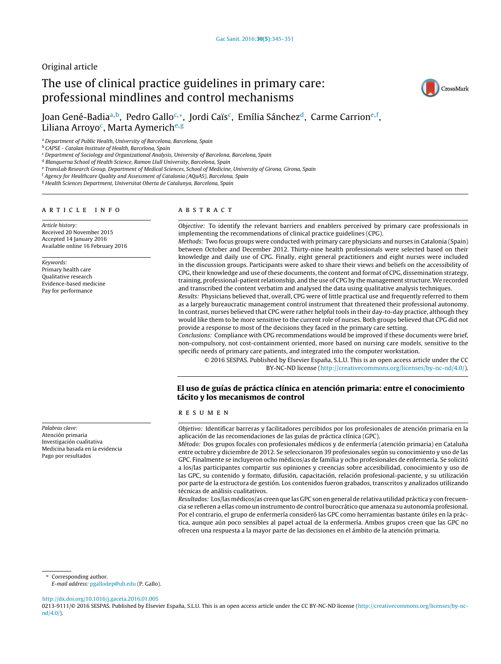# Original article

# The use of clinical practice guidelines in primary care: professional mindlines and control mechanisms



Joan Gené-Badia<sup>a,b</sup>, Pedro Gallo<sup>c,</sup>\*, Jordi Caïs<sup>c</sup>, Emília Sánchez<sup>d</sup>, Carme Carrion<sup>e, f</sup>, Liliana Arroyo<sup>c</sup>, Marta Aymerich<sup>e, g</sup>

<sup>a</sup> Department of Public Health, University of Barcelona, Barcelona, Spain

**b CAPSE - Catalan Institute of Health, Barcelona, Spain** 

<sup>c</sup> Department of Sociology and Organizational Analysis, University of Barcelona, Barcelona, Spain

<sup>d</sup> Blanquerna School of Health Science, Ramon Llull University, Barcelona, Spain

<sup>e</sup> TransLab Research Group, Department of Medical Sciences, School of Medicine, University of Girona, Girona, Spain

<sup>f</sup> Agency for Healthcare Quality and Assessment of Catalonia (AQuAS), Barcelona, Spain

<sup>g</sup> Health Sciences Department, Universitat Oberta de Catalunya, Barcelona, Spain

## a r t i c l e i n f o

Article history: Received 20 November 2015 Accepted 14 January 2016 Available online 16 February 2016

Keywords: Primary health care Qualitative research Evidence-based medicine Pay for performance

Palabras clave: Atención primaria Investigación cualitativa Medicina basada en la evidencia Pago por resultados

# A B S T R A C T

Objective: To identify the relevant barriers and enablers perceived by primary care professionals in implementing the recommendations of clinical practice guidelines (CPG).

Methods: Two focus groups were conducted with primary care physicians and nurses in Catalonia (Spain) between October and December 2012. Thirty-nine health professionals were selected based on their knowledge and daily use of CPG. Finally, eight general practitioners and eight nurses were included in the discussion groups. Participants were asked to share their views and beliefs on the accessibility of CPG, their knowledge and use of these documents, the content and format of CPG, dissemination strategy, training, professional-patient relationship, and the use of CPG by the management structure.We recorded and transcribed the content verbatim and analysed the data using qualitative analysis techniques.

Results: Physicians believed that, overall, CPG were of little practical use and frequently referred to them as a largely bureaucratic management control instrument that threatened their professional autonomy. In contrast, nurses believed that CPG were rather helpful tools in their day-to-day practice, although they would like them to be more sensitive to the current role of nurses. Both groups believed that CPG did not provide a response to most of the decisions they faced in the primary care setting.

Conclusions: Compliance with CPG recommendations would be improved if these documents were brief, non-compulsory, not cost-containment oriented, more based on nursing care models, sensitive to the specific needs of primary care patients, and integrated into the computer workstation.

© 2016 SESPAS. Published by Elsevier España, S.L.U. This is an open access article under the CC BY-NC-ND license [\(http://creativecommons.org/licenses/by-nc-nd/4.0/](http://creativecommons.org/licenses/by-nc-nd/4.0/)).

# El uso de guías de práctica clínica en atención primaria: entre el conocimiento tácito y los mecanismos de control

# r e s u m e n

Objetivo: Identificar barreras y facilitadores percibidos por los profesionales de atención primaria en la aplicación de las recomendaciones de las guías de práctica clínica (GPC).

Método: Dos grupos focales con profesionales médicos y de enfermería (atención primaria) en Cataluña entre octubre y diciembre de 2012. Se seleccionaron 39 profesionales según su conocimiento y uso de las GPC. Finalmente se incluyeron ocho médicos/as de familia y ocho profesionales de enfermería. Se solicitó a los/las participantes compartir sus opiniones y creencias sobre accesibilidad, conocimiento y uso de las GPC, su contenido y formato, difusión, capacitación, relación profesional-paciente, y su utilización por parte de la estructura de gestión. Los contenidos fueron grabados, transcritos y analizados utilizando técnicas de análisis cualitativos.

Resultados: Los/las médicos/as creen que las GPC son en general de relativa utilidad práctica y con frecuencia se refieren a ellas como un instrumento de control burocrático que amenaza su autonomía profesional. Por el contrario, el grupo de enfermería consideró las GPC como herramientas bastante útiles en la práctica, aunque aún poco sensibles al papel actual de la enfermería. Ambos grupos creen que las GPC no ofrecen una respuesta a la mayor parte de las decisiones en el ámbito de la atención primaria.

Corresponding author.

E-mail address: [pgallodep@ub.edu](mailto:pgallodep@ub.edu) (P. Gallo).

[http://dx.doi.org/10.1016/j.gaceta.2016.01.005](dx.doi.org/10.1016/j.gaceta.2016.01.005)

0213-9111/© 2016 SESPAS. Published by Elsevier España, S.L.U. This is an open access article under the CC BY-NC-ND license [\(http://creativecommons.org/licenses/by-nc](http://creativecommons.org/licenses/by-nc-nd/4.0/)[nd/4.0/\)](http://creativecommons.org/licenses/by-nc-nd/4.0/).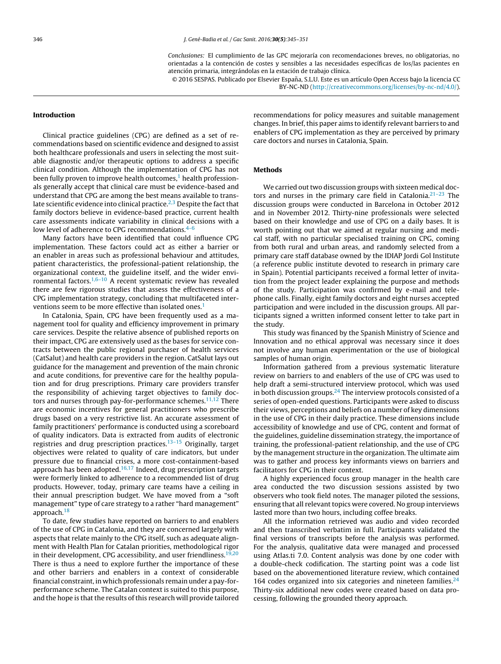Conclusiones: El cumplimiento de las GPC mejoraría con recomendaciones breves, no obligatorias, no orientadas a la contención de costes y sensibles a las necesidades específicas de los/las pacientes en atención primaria, integrándolas en la estación de trabajo clínica.

© 2016 SESPAS. Publicado por Elsevier España, S.L.U. Este es un artículo Open Access bajo la licencia CC BY-NC-ND [\(http://creativecommons.org/licenses/by-nc-nd/4.0/\)](http://creativecommons.org/licenses/by-nc-nd/4.0/).

## Introduction

Clinical practice guidelines (CPG) are defined as a set of recommendations based on scientific evidence and designed to assist both healthcare professionals and users in selecting the most suitable diagnostic and/or therapeutic options to address a specific clinical condition. Although the implementation of CPG has not been fully proven to improve health outcomes, $<sup>1</sup>$  $<sup>1</sup>$  $<sup>1</sup>$  health profession-</sup> als generally accept that clinical care must be evidence-based and understand that CPG are among the best means available to translate scientific evidence into clinical practice. $2,3$  Despite the fact that family doctors believe in evidence-based practice, current health care assessments indicate variability in clinical decisions with a low level of adherence to CPG recommendations.<sup>4-6</sup>

Many factors have been identified that could influence CPG implementation. These factors could act as either a barrier or an enabler in areas such as professional behaviour and attitudes, patient characteristics, the professional-patient relationship, the organizational context, the guideline itself, and the wider envi-ronmental factors.<sup>[1,6–10](#page-6-0)</sup> A recent systematic review has revealed there are few rigorous studies that assess the effectiveness of a CPG implementation strategy, concluding that multifaceted inter-ventions seem to be more effective than isolated ones.<sup>[1](#page-6-0)</sup>

In Catalonia, Spain, CPG have been frequently used as a management tool for quality and efficiency improvement in primary care services. Despite the relative absence of published reports on their impact, CPG are extensively used as the bases for service contracts between the public regional purchaser of health services (CatSalut) and health care providers in the region. CatSalut lays out guidance for the management and prevention of the main chronic and acute conditions, for preventive care for the healthy population and for drug prescriptions. Primary care providers transfer the responsibility of achieving target objectives to family doctors and nurses through pay-for-performance schemes. $11,12$  There are economic incentives for general practitioners who prescribe drugs based on a very restrictive list. An accurate assessment of family practitioners' performance is conducted using a scoreboard of quality indicators. Data is extracted from audits of electronic registries and drug prescription practices.<sup>13-15</sup> Originally, target objectives were related to quality of care indicators, but under pressure due to financial crises, a more cost-containment-based approach has been adopted. $16,17$  Indeed, drug prescription targets were formerly linked to adherence to a recommended list of drug products. However, today, primary care teams have a ceiling in their annual prescription budget. We have moved from a "soft management" type of care strategy to a rather "hard management" approach.[18](#page-6-0)

To date, few studies have reported on barriers to and enablers of the use of CPG in Catalonia, and they are concerned largely with aspects that relate mainly to the CPG itself, such as adequate alignment with Health Plan for Catalan priorities, methodological rigor in their development, CPG accessibility, and user friendliness.<sup>[19,20](#page-6-0)</sup> There is thus a need to explore further the importance of these and other barriers and enablers in a context of considerable financial constraint, in which professionals remain under a pay-forperformance scheme. The Catalan context is suited to this purpose, and the hope is that the results of this research will provide tailored

recommendations for policy measures and suitable management changes. In brief, this paper aims to identify relevant barriers to and enablers of CPG implementation as they are perceived by primary care doctors and nurses in Catalonia, Spain.

# Methods

We carried out two discussion groups with sixteen medical doctors and nurses in the primary care field in Catalonia. $21-23$  The discussion groups were conducted in Barcelona in October 2012 and in November 2012. Thirty-nine professionals were selected based on their knowledge and use of CPG on a daily bases. It is worth pointing out that we aimed at regular nursing and medical staff, with no particular specialised training on CPG, coming from both rural and urban areas, and randomly selected from a primary care staff database owned by the IDIAP Jordi Gol Institute (a reference public institute devoted to research in primary care in Spain). Potential participants received a formal letter of invitation from the project leader explaining the purpose and methods of the study. Participation was confirmed by e-mail and telephone calls. Finally, eight family doctors and eight nurses accepted participation and were included in the discussion groups. All participants signed a written informed consent letter to take part in the study.

This study was financed by the Spanish Ministry of Science and Innovation and no ethical approval was necessary since it does not involve any human experimentation or the use of biological samples of human origin.

Information gathered from a previous systematic literature review on barriers to and enablers of the use of CPG was used to help draft a semi-structured interview protocol, which was used in both discussion groups. $24$  The interview protocols consisted of a series of open-ended questions. Participants were asked to discuss their views, perceptions and beliefs on a number of key dimensions in the use of CPG in their daily practice. These dimensions include accessibility of knowledge and use of CPG, content and format of the guidelines, guideline dissemination strategy, the importance of training, the professional-patient relationship, and the use of CPG by the management structure in the organization. The ultimate aim was to gather and process key informants views on barriers and facilitators for CPG in their context.

A highly experienced focus group manager in the health care area conducted the two discussion sessions assisted by two observers who took field notes. The manager piloted the sessions, ensuring that all relevant topics were covered. No group interviews lasted more than two hours, including coffee breaks.

All the information retrieved was audio and video recorded and then transcribed verbatim in full. Participants validated the final versions of transcripts before the analysis was performed. For the analysis, qualitative data were managed and processed using Atlas.ti 7.0. Content analysis was done by one coder with a double-check codification. The starting point was a code list based on the abovementioned literature review, which contained 164 codes organized into six categories and nineteen families. $24$ Thirty-six additional new codes were created based on data processing, following the grounded theory approach.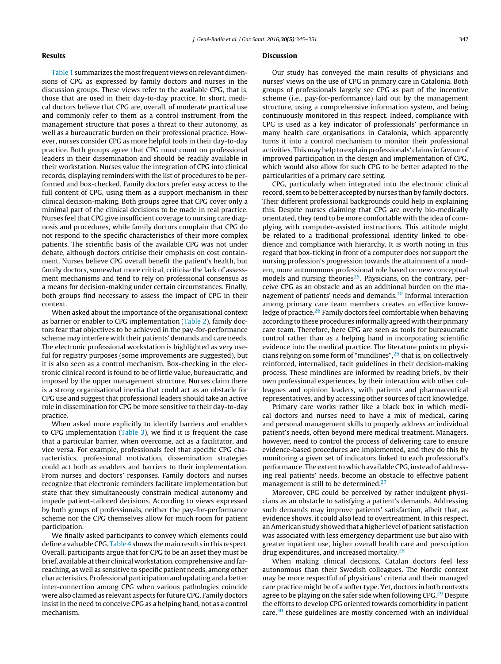#### Results

[Table](#page-3-0) 1 summarizes the most frequent views on relevant dimensions of CPG as expressed by family doctors and nurses in the discussion groups. These views refer to the available CPG, that is, those that are used in their day-to-day practice. In short, medical doctors believe that CPG are, overall, of moderate practical use and commonly refer to them as a control instrument from the management structure that poses a threat to their autonomy, as well as a bureaucratic burden on their professional practice. However, nurses consider CPG as more helpful tools in their day-to-day practice. Both groups agree that CPG must count on professional leaders in their dissemination and should be readily available in their workstation. Nurses value the integration of CPG into clinical records, displaying reminders with the list of procedures to be performed and box-checked. Family doctors prefer easy access to the full content of CPG, using them as a support mechanism in their clinical decision-making. Both groups agree that CPG cover only a minimal part of the clinical decisions to be made in real practice. Nurses feel that CPG give insufficient coverage to nursing care diagnosis and procedures, while family doctors complain that CPG do not respond to the specific characteristics of their more complex patients. The scientific basis of the available CPG was not under debate, although doctors criticise their emphasis on cost containment. Nurses believe CPG overall benefit the patient's health, but family doctors, somewhat more critical, criticise the lack of assessment mechanisms and tend to rely on professional consensus as a means for decision-making under certain circumstances. Finally, both groups find necessary to assess the impact of CPG in their context.

When asked about the importance of the organisational context as barrier or enabler to CPG implementation [\(Table](#page-3-0) 2), family doctors fear that objectives to be achieved in the pay-for-performance scheme may interfere with their patients' demands and care needs. The electronic professional workstation is highlighted as very useful for registry purposes (some improvements are suggested), but it is also seen as a control mechanism. Box-checking in the electronic clinical record is found to be of little value, bureaucratic, and imposed by the upper management structure. Nurses claim there is a strong organisational inertia that could act as an obstacle for CPG use and suggest that professional leaders should take an active role in dissemination for CPG be more sensitive to their day-to-day practice.

When asked more explicitly to identify barriers and enablers to CPG implementation ([Table](#page-4-0) 3), we find it is frequent the case that a particular barrier, when overcome, act as a facilitator, and vice versa. For example, professionals feel that specific CPG characteristics, professional motivation, dissemination strategies could act both as enablers and barriers to their implementation. From nurses and doctors' responses. Family doctors and nurses recognize that electronic reminders facilitate implementation but state that they simultaneously constrain medical autonomy and impede patient-tailored decisions. According to views expressed by both groups of professionals, neither the pay-for-performance scheme nor the CPG themselves allow for much room for patient participation.

We finally asked participants to convey which elements could define a valuable CPG. [Table](#page-4-0) 4 shows the main results in this respect. Overall, participants argue that for CPG to be an asset they must be brief, available at their clinical workstation, comprehensive and farreaching, as well as sensitive to specific patient needs, among other characteristics. Professional participationandupdating and a better inter-connection among CPG when various pathologies coincide were also claimed as relevant aspects for future CPG. Family doctors insistin the need to conceive CPG as a helping hand, not as a control mechanism.

#### Discussion

Our study has conveyed the main results of physicians and nurses' views on the use of CPG in primary care in Catalonia. Both groups of professionals largely see CPG as part of the incentive scheme (i.e., pay-for-performance) laid out by the management structure, using a comprehensive information system, and being continuously monitored in this respect. Indeed, compliance with CPG is used as a key indicator of professionals' performance in many health care organisations in Catalonia, which apparently turns it into a control mechanism to monitor their professional activities. This may help to explain professionals' claims in favour of improved participation in the design and implementation of CPG, which would also allow for such CPG to be better adapted to the particularities of a primary care setting.

CPG, particularly when integrated into the electronic clinical record, seem to be better accepted by nurses than by family doctors. Their different professional backgrounds could help in explaining this. Despite nurses claiming that CPG are overly bio-medically orientated, they tend to be more comfortable with the idea of complying with computer-assisted instructions. This attitude might be related to a traditional professional identity linked to obedience and compliance with hierarchy. It is worth noting in this regard that box-ticking in front of a computer does not support the nursing profession's progression towards the attainment of a modern, more autonomous professional role based on new conceptual models and nursing theories $25$ . Physicians, on the contrary, perceive CPG as an obstacle and as an additional burden on the management of patients' needs and demands.[10](#page-6-0) Informal interaction among primary care team members creates an effective know-ledge of practice.<sup>[26](#page-6-0)</sup> Family doctors feel comfortable when behaving according to these procedures informally agreed with their primary care team. Therefore, here CPG are seen as tools for bureaucratic control rather than as a helping hand in incorporating scientific evidence into the medical practice. The literature points to physicians relying on some form of "mindlines", $^{26}$  $^{26}$  $^{26}$  that is, on collectively reinforced, internalised, tacit guidelines in their decision-making process. These mindlines are informed by reading briefs, by their own professional experiences, by their interaction with other colleagues and opinion leaders, with patients and pharmaceutical representatives, and by accessing other sources of tacit knowledge.

Primary care works rather like a black box in which medical doctors and nurses need to have a mix of medical, caring and personal management skills to properly address an individual patient's needs, often beyond mere medical treatment. Managers, however, need to control the process of delivering care to ensure evidence-based procedures are implemented, and they do this by monitoring a given set of indicators linked to each professional's performance. The extent to which available CPG, instead of addressing real patients' needs, become an obstacle to effective patient management is still to be determined.<sup>[27](#page-6-0)</sup>

Moreover, CPG could be perceived by rather indulgent physicians as an obstacle to satisfying a patient's demands. Addressing such demands may improve patients' satisfaction, albeit that, as evidence shows, it could also lead to overtreatment. In this respect, anAmerican study showed that a higher level of patient satisfaction was associated with less emergency department use but also with greater inpatient use, higher overall health care and prescription drug expenditures, and increased mortality.<sup>[28](#page-6-0)</sup>

When making clinical decisions, Catalan doctors feel less autonomous than their Swedish colleagues. The Nordic context may be more respectful of physicians' criteria and their managed care practice might be of a softer type. Yet, doctors in both contexts agree to be playing on the safer side when following CPG.<sup>[29](#page-6-0)</sup> Despite the efforts to develop CPG oriented towards comorbidity in patient  $care<sup>30</sup>$  $care<sup>30</sup>$  $care<sup>30</sup>$ , these guidelines are mostly concerned with an individual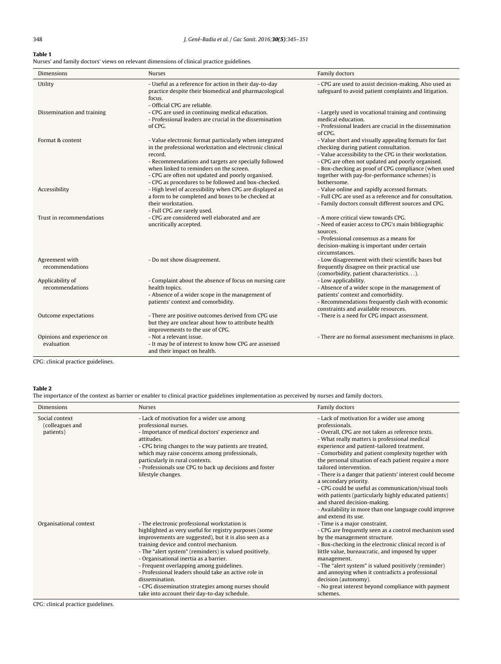# <span id="page-3-0"></span>Table 1

Nurses' and family doctors' views on relevant dimensions of clinical practice guidelines.

| <b>Dimensions</b>                        | <b>Nurses</b>                                                                                                                                                                                                                                                                                                                               | Family doctors                                                                                                                                                                                                                                                                                                                        |
|------------------------------------------|---------------------------------------------------------------------------------------------------------------------------------------------------------------------------------------------------------------------------------------------------------------------------------------------------------------------------------------------|---------------------------------------------------------------------------------------------------------------------------------------------------------------------------------------------------------------------------------------------------------------------------------------------------------------------------------------|
| Utility                                  | - Useful as a reference for action in their day-to-day<br>practice despite their biomedical and pharmacological<br>focus.<br>- Official CPG are reliable.                                                                                                                                                                                   | - CPG are used to assist decision-making. Also used as<br>safeguard to avoid patient complaints and litigation.                                                                                                                                                                                                                       |
| Dissemination and training               | - CPG are used in continuing medical education.<br>- Professional leaders are crucial in the dissemination<br>of CPG.                                                                                                                                                                                                                       | - Largely used in vocational training and continuing<br>medical education.<br>- Professional leaders are crucial in the dissemination<br>of CPG.                                                                                                                                                                                      |
| Format & content                         | - Value electronic format particularly when integrated<br>in the professional workstation and electronic clinical<br>record.<br>- Recommendations and targets are specially followed<br>when linked to reminders on the screen.<br>- CPG are often not updated and poorly organised.<br>- CPG as procedures to be followed and box-checked. | - Value short and visually appealing formats for fast<br>checking during patient consultation.<br>- Value accessibility to the CPG in their workstation.<br>- CPG are often not updated and poorly organised.<br>- Box-checking as proof of CPG compliance (when used<br>together with pay-for-performance schemes) is<br>bothersome. |
| Accessibility                            | - High level of accessibility when CPG are displayed as<br>a form to be completed and boxes to be checked at<br>their workstation.<br>- Full CPG are rarely used.                                                                                                                                                                           | - Value online and rapidly accessed formats.<br>- Full CPG are used as a reference and for consultation.<br>- Family doctors consult different sources and CPG.                                                                                                                                                                       |
| Trust in recommendations                 | - CPG are considered well elaborated and are<br>uncritically accepted.                                                                                                                                                                                                                                                                      | - A more critical view towards CPG.<br>- Need of easier access to CPG's main bibliographic<br>sources.<br>- Professional consensus as a means for<br>decision-making is important under certain<br>circumstances.                                                                                                                     |
| Agreement with<br>recommendations        | - Do not show disagreement.                                                                                                                                                                                                                                                                                                                 | - Low disagreement with their scientific bases but<br>frequently disagree on their practical use<br>(comorbidity, patient characteristics).                                                                                                                                                                                           |
| Applicability of<br>recommendations      | - Complaint about the absence of focus on nursing care<br>health topics.<br>- Absence of a wider scope in the management of<br>patients' context and comorbidity.                                                                                                                                                                           | - Low applicability.<br>- Absence of a wider scope in the management of<br>patients' context and comorbidity.<br>- Recommendations frequently clash with economic<br>constraints and available resources.                                                                                                                             |
| Outcome expectations                     | - There are positive outcomes derived from CPG use<br>but they are unclear about how to attribute health<br>improvements to the use of CPG.                                                                                                                                                                                                 | - There is a need for CPG impact assessment.                                                                                                                                                                                                                                                                                          |
| Opinions and experience on<br>evaluation | - Not a relevant issue.<br>- It may be of interest to know how CPG are assessed<br>and their impact on health.                                                                                                                                                                                                                              | - There are no formal assessment mechanisms in place.                                                                                                                                                                                                                                                                                 |

CPG: clinical practice guidelines.

# Table 2

The importance of the context as barrier or enabler to clinical practice guidelines implementation as perceived by nurses and family doctors.

| <b>Dimensions</b>                              | Nurses                                                                                                                                                                                                                                                                                                                                                                                                                                                                                                                                    | Family doctors                                                                                                                                                                                                                                                                                                                                                                                                                                                                                                                                                                                                                                                                |
|------------------------------------------------|-------------------------------------------------------------------------------------------------------------------------------------------------------------------------------------------------------------------------------------------------------------------------------------------------------------------------------------------------------------------------------------------------------------------------------------------------------------------------------------------------------------------------------------------|-------------------------------------------------------------------------------------------------------------------------------------------------------------------------------------------------------------------------------------------------------------------------------------------------------------------------------------------------------------------------------------------------------------------------------------------------------------------------------------------------------------------------------------------------------------------------------------------------------------------------------------------------------------------------------|
| Social context<br>(colleagues and<br>patients) | - Lack of motivation for a wider use among<br>professional nurses.<br>- Importance of medical doctors' experience and<br>attitudes.<br>- CPG bring changes to the way patients are treated,<br>which may raise concerns among professionals,<br>particularly in rural contexts.<br>- Professionals use CPG to back up decisions and foster<br>lifestyle changes.                                                                                                                                                                          | - Lack of motivation for a wider use among<br>professionals.<br>- Overall, CPG are not taken as reference texts.<br>- What really matters is professional medical<br>experience and patient-tailored treatment.<br>- Comorbidity and patient complexity together with<br>the personal situation of each patient require a more<br>tailored intervention.<br>- There is a danger that patients' interest could become<br>a secondary priority.<br>- CPG could be useful as communication/visual tools<br>with patients (particularly highly educated patients)<br>and shared decision-making.<br>- Availability in more than one language could improve<br>and extend its use. |
| Organisational context                         | - The electronic professional workstation is<br>highlighted as very useful for registry purposes (some<br>improvements are suggested), but it is also seen as a<br>training device and control mechanism.<br>- The "alert system" (reminders) is valued positively.<br>- Organisational inertia as a barrier.<br>- Frequent overlapping among guidelines.<br>- Professional leaders should take an active role in<br>dissemination.<br>- CPG dissemination strategies among nurses should<br>take into account their day-to-day schedule. | - Time is a major constraint.<br>- CPG are frequently seen as a control mechanism used<br>by the management structure.<br>- Box-checking in the electronic clinical record is of<br>little value, bureaucratic, and imposed by upper<br>management.<br>- The "alert system" is valued positively (reminder)<br>and annoying when it contradicts a professional<br>decision (autonomy).<br>- No great interest beyond compliance with payment<br>schemes.                                                                                                                                                                                                                      |

CPG: clinical practice guidelines.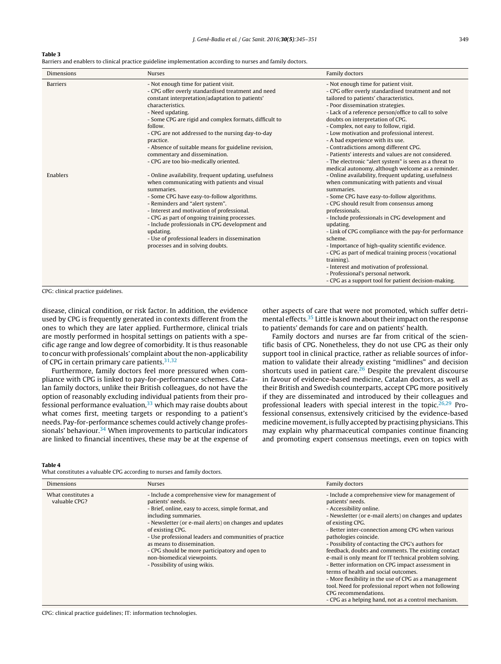# <span id="page-4-0"></span>Table 3

Barriers and enablers to clinical practice guideline implementation according to nurses and family doctors.

| <b>Dimensions</b> | <b>Nurses</b>                                                                                                                                                                                                                                                                                                                                                                                                                                                 | Family doctors                                                                                                                                                                                                                                                                                                                                                                                                                                                                                                                                                                                                                           |
|-------------------|---------------------------------------------------------------------------------------------------------------------------------------------------------------------------------------------------------------------------------------------------------------------------------------------------------------------------------------------------------------------------------------------------------------------------------------------------------------|------------------------------------------------------------------------------------------------------------------------------------------------------------------------------------------------------------------------------------------------------------------------------------------------------------------------------------------------------------------------------------------------------------------------------------------------------------------------------------------------------------------------------------------------------------------------------------------------------------------------------------------|
| <b>Barriers</b>   | - Not enough time for patient visit.<br>- CPG offer overly standardised treatment and need<br>constant interpretation/adaptation to patients'<br>characteristics.<br>- Need updating.<br>- Some CPG are rigid and complex formats, difficult to<br>follow.<br>- CPG are not addressed to the nursing day-to-day<br>practice.<br>- Absence of suitable means for guideline revision,<br>commentary and dissemination.<br>- CPG are too bio-medically oriented. | - Not enough time for patient visit.<br>- CPG offer overly standardised treatment and not<br>tailored to patients' characteristics.<br>- Poor dissemination strategies.<br>- Lack of a reference person/office to call to solve<br>doubts on interpretation of CPG.<br>- Complex, not easy to follow, rigid.<br>- Low motivation and professional interest.<br>- A bad experience with its use.<br>- Contradictions among different CPG.<br>- Patients' interests and values are not considered.<br>- The electronic "alert system" is seen as a threat to<br>medical autonomy, although welcome as a reminder.                          |
| Enablers          | - Online availability, frequent updating, usefulness<br>when communicating with patients and visual<br>summaries.<br>- Some CPG have easy-to-follow algorithms.<br>- Reminders and "alert system".<br>- Interest and motivation of professional.<br>- CPG as part of ongoing training processes.<br>- Include professionals in CPG development and<br>updating.<br>- Use of professional leaders in dissemination<br>processes and in solving doubts.         | - Online availability, frequent updating, usefulness<br>when communicating with patients and visual<br>summaries.<br>- Some CPG have easy-to-follow algorithms.<br>- CPG should result from consensus among<br>professionals.<br>- Include professionals in CPG development and<br>updating.<br>- Link of CPG compliance with the pay-for performance<br>scheme.<br>- Importance of high-quality scientific evidence.<br>- CPG as part of medical training process (vocational<br>training).<br>- Interest and motivation of professional.<br>- Professional's personal network.<br>- CPG as a support tool for patient decision-making. |

CPG: clinical practice guidelines.

disease, clinical condition, or risk factor. In addition, the evidence used by CPG is frequently generated in contexts different from the ones to which they are later applied. Furthermore, clinical trials are mostly performed in hospital settings on patients with a specific age range and low degree of comorbidity. It is thus reasonable to concur with professionals' complaint about the non-applicability of CPG in certain primary care patients. $31,32$ 

Furthermore, family doctors feel more pressured when compliance with CPG is linked to pay-for-performance schemes. Catalan family doctors, unlike their British colleagues, do not have the option of reasonably excluding individual patients from their professional performance evaluation,  $33$  which may raise doubts about what comes first, meeting targets or responding to a patient's needs. Pay-for-performance schemes could actively change profes-sionals' behaviour.<sup>[34](#page-6-0)</sup> When improvements to particular indicators are linked to financial incentives, these may be at the expense of other aspects of care that were not promoted, which suffer detrimental effects. $35$  Little is known about their impact on the response to patients' demands for care and on patients' health.

Family doctors and nurses are far from critical of the scientific basis of CPG. Nonetheless, they do not use CPG as their only support tool in clinical practice, rather as reliable sources of information to validate their already existing "midlines" and decision shortcuts used in patient care. $26$  Despite the prevalent discourse in favour of evidence-based medicine, Catalan doctors, as well as their British and Swedish counterparts, accept CPG more positively if they are disseminated and introduced by their colleagues and professional leaders with special interest in the topic. $26,29$  Professional consensus, extensively criticised by the evidence-based medicine movement, is fully accepted by practising physicians. This may explain why pharmaceutical companies continue financing and promoting expert consensus meetings, even on topics with

#### Table 4

What constitutes a valuable CPG according to nurses and family doctors.

| Dimensions                          | <b>Nurses</b>                                                                                                                                                                                                                                                                                                                                                                                                                              | Family doctors                                                                                                                                                                                                                                                                                                                                                                                                                                                                                                                                                                                                                                                                                                                |
|-------------------------------------|--------------------------------------------------------------------------------------------------------------------------------------------------------------------------------------------------------------------------------------------------------------------------------------------------------------------------------------------------------------------------------------------------------------------------------------------|-------------------------------------------------------------------------------------------------------------------------------------------------------------------------------------------------------------------------------------------------------------------------------------------------------------------------------------------------------------------------------------------------------------------------------------------------------------------------------------------------------------------------------------------------------------------------------------------------------------------------------------------------------------------------------------------------------------------------------|
| What constitutes a<br>valuable CPG? | - Include a comprehensive view for management of<br>patients' needs.<br>- Brief, online, easy to access, simple format, and<br>including summaries.<br>- Newsletter (or e-mail alerts) on changes and updates<br>of existing CPG.<br>- Use professional leaders and communities of practice<br>as means to dissemination.<br>- CPG should be more participatory and open to<br>non-biomedical viewpoints.<br>- Possibility of using wikis. | - Include a comprehensive view for management of<br>patients' needs.<br>- Accessibility online.<br>- Newsletter (or e-mail alerts) on changes and updates<br>of existing CPG.<br>- Better inter-connection among CPG when various<br>pathologies coincide.<br>- Possibility of contacting the CPG's authors for<br>feedback, doubts and comments. The existing contact<br>e-mail is only meant for IT technical problem solving.<br>- Better information on CPG impact assessment in<br>terms of health and social outcomes.<br>- More flexibility in the use of CPG as a management<br>tool. Need for professional report when not following<br>CPG recommendations.<br>- CPG as a helping hand, not as a control mechanism. |

CPG: clinical practice guidelines; IT: information technologies.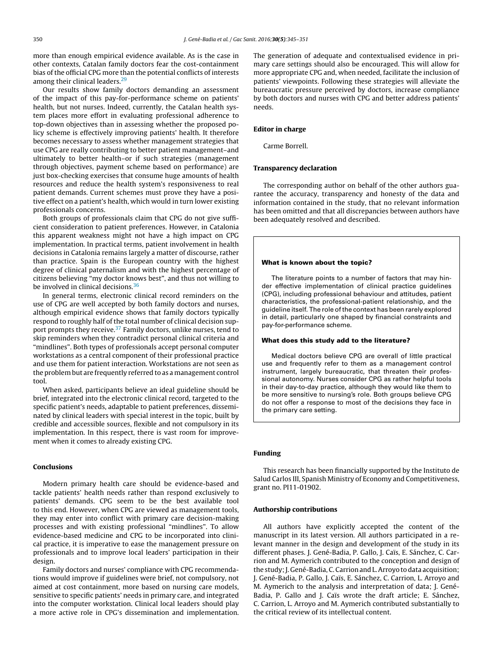more than enough empirical evidence available. As is the case in other contexts, Catalan family doctors fear the cost-containment bias of the official CPG more than the potential conflicts of interests among their clinical leaders.<sup>[29](#page-6-0)</sup>

Our results show family doctors demanding an assessment of the impact of this pay-for-performance scheme on patients' health, but not nurses. Indeed, currently, the Catalan health system places more effort in evaluating professional adherence to top-down objectives than in assessing whether the proposed policy scheme is effectively improving patients' health. It therefore becomes necessary to assess whether management strategies that use CPG are really contributing to better patient management–and ultimately to better health–or if such strategies (management through objectives, payment scheme based on performance) are just box-checking exercises that consume huge amounts of health resources and reduce the health system's responsiveness to real patient demands. Current schemes must prove they have a positive effect on a patient's health, which would in turn lower existing professionals concerns.

Both groups of professionals claim that CPG do not give sufficient consideration to patient preferences. However, in Catalonia this apparent weakness might not have a high impact on CPG implementation. In practical terms, patient involvement in health decisions in Catalonia remains largely a matter of discourse, rather than practice. Spain is the European country with the highest degree of clinical paternalism and with the highest percentage of citizens believing "my doctor knows best", and thus not willing to be involved in clinical decisions.<sup>[36](#page-6-0)</sup>

In general terms, electronic clinical record reminders on the use of CPG are well accepted by both family doctors and nurses, although empirical evidence shows that family doctors typically respond to roughly half of the total number of clinical decision support prompts they receive. $37$  Family doctors, unlike nurses, tend to skip reminders when they contradict personal clinical criteria and "mindlines". Both types of professionals accept personal computer workstations as a central component of their professional practice and use them for patient interaction. Workstations are not seen as the problem but are frequently referred to as a management control tool.

When asked, participants believe an ideal guideline should be brief, integrated into the electronic clinical record, targeted to the specific patient's needs, adaptable to patient preferences, disseminated by clinical leaders with special interest in the topic, built by credible and accessible sources, flexible and not compulsory in its implementation. In this respect, there is vast room for improvement when it comes to already existing CPG.

# Conclusions

Modern primary health care should be evidence-based and tackle patients' health needs rather than respond exclusively to patients' demands. CPG seem to be the best available tool to this end. However, when CPG are viewed as management tools, they may enter into conflict with primary care decision-making processes and with existing professional "mindlines". To allow evidence-based medicine and CPG to be incorporated into clinical practice, it is imperative to ease the management pressure on professionals and to improve local leaders' participation in their design.

Family doctors and nurses' compliance with CPG recommendations would improve if guidelines were brief, not compulsory, not aimed at cost containment, more based on nursing care models, sensitive to specific patients' needs in primary care, and integrated into the computer workstation. Clinical local leaders should play a more active role in CPG's dissemination and implementation. The generation of adequate and contextualised evidence in primary care settings should also be encouraged. This will allow for more appropriate CPG and, when needed, facilitate the inclusion of patients' viewpoints. Following these strategies will alleviate the bureaucratic pressure perceived by doctors, increase compliance by both doctors and nurses with CPG and better address patients' needs.

## Editor in charge

Carme Borrell.

# Transparency declaration

The corresponding author on behalf of the other authors guarantee the accuracy, transparency and honesty of the data and information contained in the study, that no relevant information has been omitted and that all discrepancies between authors have been adequately resolved and described.

#### What is known about the topic?

The literature points to a number of factors that may hinder effective implementation of clinical practice guidelines (CPG), including professional behaviour and attitudes, patient characteristics, the professional-patient relationship, and the guideline itself. The role of the context has been rarely explored in detail, particularly one shaped by financial constraints and pay-for-performance scheme.

## What does this study add to the literature?

Medical doctors believe CPG are overall of little practical use and frequently refer to them as a management control instrument, largely bureaucratic, that threaten their professional autonomy. Nurses consider CPG as rather helpful tools in their day-to-day practice, although they would like them to be more sensitive to nursing's role. Both groups believe CPG do not offer a response to most of the decisions they face in the primary care setting.

# Funding

This research has been financially supported by the Instituto de Salud Carlos III, Spanish Ministry of Economy and Competitiveness, grant no. PI11-01902.

# Authorship contributions

All authors have explicitly accepted the content of the manuscript in its latest version. All authors participated in a relevant manner in the design and development of the study in its different phases. J. Gené-Badia, P. Gallo, J. Caïs, E. Sánchez, C. Carrion and M. Aymerich contributed to the conception and design of the study;J. Gené-Badia,C.CarrionandL.Arroyo todata acquisition; J. Gené-Badia, P. Gallo, J. Caïs, E. Sánchez, C. Carrion, L. Arroyo and M. Aymerich to the analysis and interpretation of data; J. Gené-Badia, P. Gallo and J. Caïs wrote the draft article; E. Sánchez, C. Carrion, L. Arroyo and M. Aymerich contributed substantially to the critical review of its intellectual content.